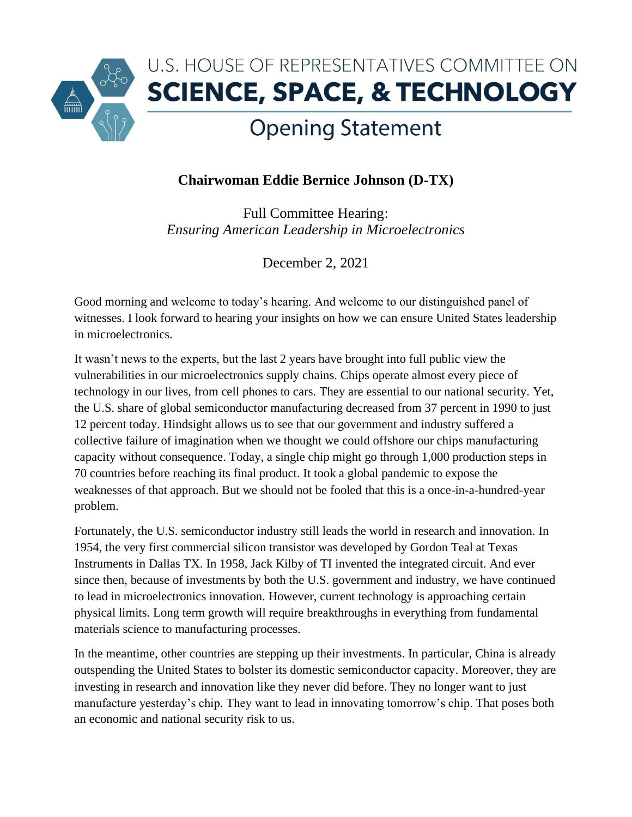

## **Chairwoman Eddie Bernice Johnson (D-TX)**

Full Committee Hearing: *Ensuring American Leadership in Microelectronics*

December 2, 2021

Good morning and welcome to today's hearing. And welcome to our distinguished panel of witnesses. I look forward to hearing your insights on how we can ensure United States leadership in microelectronics.

It wasn't news to the experts, but the last 2 years have brought into full public view the vulnerabilities in our microelectronics supply chains. Chips operate almost every piece of technology in our lives, from cell phones to cars. They are essential to our national security. Yet, the U.S. share of global semiconductor manufacturing decreased from 37 percent in 1990 to just 12 percent today. Hindsight allows us to see that our government and industry suffered a collective failure of imagination when we thought we could offshore our chips manufacturing capacity without consequence. Today, a single chip might go through 1,000 production steps in 70 countries before reaching its final product. It took a global pandemic to expose the weaknesses of that approach. But we should not be fooled that this is a once-in-a-hundred-year problem.

Fortunately, the U.S. semiconductor industry still leads the world in research and innovation. In 1954, the very first commercial silicon transistor was developed by Gordon Teal at Texas Instruments in Dallas TX. In 1958, Jack Kilby of TI invented the integrated circuit. And ever since then, because of investments by both the U.S. government and industry, we have continued to lead in microelectronics innovation. However, current technology is approaching certain physical limits. Long term growth will require breakthroughs in everything from fundamental materials science to manufacturing processes.

In the meantime, other countries are stepping up their investments. In particular, China is already outspending the United States to bolster its domestic semiconductor capacity. Moreover, they are investing in research and innovation like they never did before. They no longer want to just manufacture yesterday's chip. They want to lead in innovating tomorrow's chip. That poses both an economic and national security risk to us.